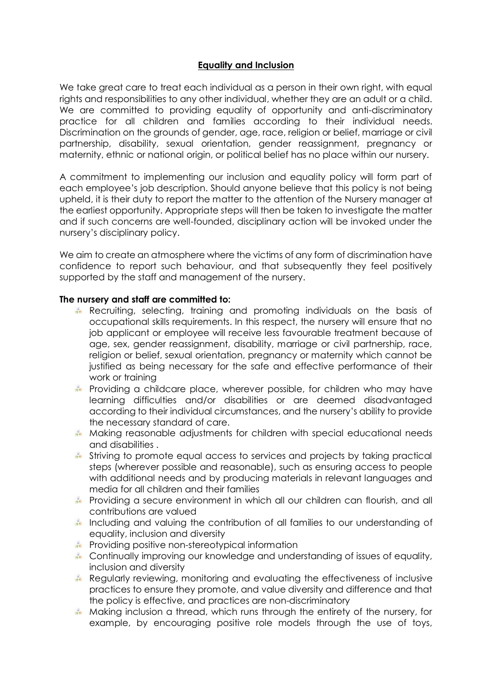# **Equality and Inclusion**

We take great care to treat each individual as a person in their own right, with equal rights and responsibilities to any other individual, whether they are an adult or a child. We are committed to providing equality of opportunity and anti-discriminatory practice for all children and families according to their individual needs. Discrimination on the grounds of gender, age, race, religion or belief, marriage or civil partnership, disability, sexual orientation, gender reassignment, pregnancy or maternity, ethnic or national origin, or political belief has no place within our nursery.

A commitment to implementing our inclusion and equality policy will form part of each employee's job description. Should anyone believe that this policy is not being upheld, it is their duty to report the matter to the attention of the Nursery manager at the earliest opportunity. Appropriate steps will then be taken to investigate the matter and if such concerns are well-founded, disciplinary action will be invoked under the nursery's disciplinary policy.

We aim to create an atmosphere where the victims of any form of discrimination have confidence to report such behaviour, and that subsequently they feel positively supported by the staff and management of the nursery.

## **The nursery and staff are committed to:**

- Recruiting, selecting, training and promoting individuals on the basis of occupational skills requirements. In this respect, the nursery will ensure that no job applicant or employee will receive less favourable treatment because of age, sex, gender reassignment, disability, marriage or civil partnership, race, religion or belief, sexual orientation, pregnancy or maternity which cannot be justified as being necessary for the safe and effective performance of their work or training
- Providing a childcare place, wherever possible, for children who may have learning difficulties and/or disabilities or are deemed disadvantaged according to their individual circumstances, and the nursery's ability to provide the necessary standard of care.
- Making reasonable adjustments for children with special educational needs and disabilities .
- Striving to promote equal access to services and projects by taking practical steps (wherever possible and reasonable), such as ensuring access to people with additional needs and by producing materials in relevant languages and media for all children and their families
- Providing a secure environment in which all our children can flourish, and all contributions are valued
- Including and valuing the contribution of all families to our understanding of equality, inclusion and diversity
- Providing positive non-stereotypical information
- Continually improving our knowledge and understanding of issues of equality, inclusion and diversity
- Regularly reviewing, monitoring and evaluating the effectiveness of inclusive practices to ensure they promote, and value diversity and difference and that the policy is effective, and practices are non-discriminatory
- Making inclusion a thread, which runs through the entirety of the nursery, for example, by encouraging positive role models through the use of toys,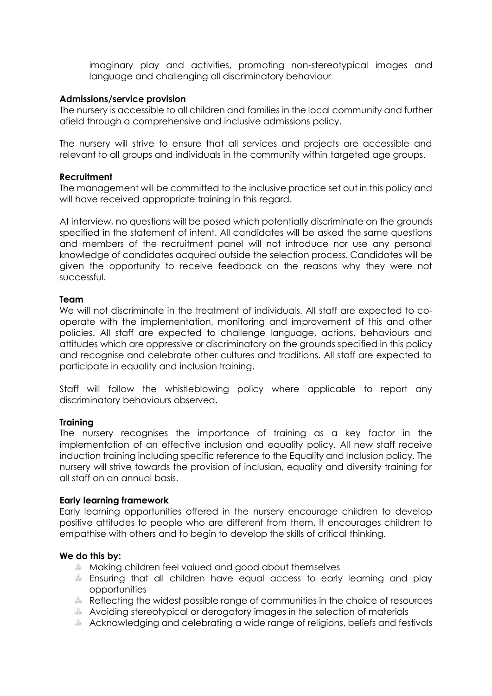imaginary play and activities, promoting non-stereotypical images and language and challenging all discriminatory behaviour

### **Admissions/service provision**

The nursery is accessible to all children and families in the local community and further afield through a comprehensive and inclusive admissions policy.

The nursery will strive to ensure that all services and projects are accessible and relevant to all groups and individuals in the community within targeted age groups.

### **Recruitment**

The management will be committed to the inclusive practice set out in this policy and will have received appropriate training in this regard.

At interview, no questions will be posed which potentially discriminate on the grounds specified in the statement of intent. All candidates will be asked the same questions and members of the recruitment panel will not introduce nor use any personal knowledge of candidates acquired outside the selection process. Candidates will be given the opportunity to receive feedback on the reasons why they were not successful.

#### **Team**

We will not discriminate in the treatment of individuals. All staff are expected to cooperate with the implementation, monitoring and improvement of this and other policies. All staff are expected to challenge language, actions, behaviours and attitudes which are oppressive or discriminatory on the grounds specified in this policy and recognise and celebrate other cultures and traditions. All staff are expected to participate in equality and inclusion training.

Staff will follow the whistleblowing policy where applicable to report any discriminatory behaviours observed.

### **Training**

The nursery recognises the importance of training as a key factor in the implementation of an effective inclusion and equality policy. All new staff receive induction training including specific reference to the Equality and Inclusion policy. The nursery will strive towards the provision of inclusion, equality and diversity training for all staff on an annual basis.

### **Early learning framework**

Early learning opportunities offered in the nursery encourage children to develop positive attitudes to people who are different from them. It encourages children to empathise with others and to begin to develop the skills of critical thinking.

### **We do this by:**

- Making children feel valued and good about themselves
- Ensuring that all children have equal access to early learning and play opportunities
- Reflecting the widest possible range of communities in the choice of resources
- Avoiding stereotypical or derogatory images in the selection of materials
- Acknowledging and celebrating a wide range of religions, beliefs and festivals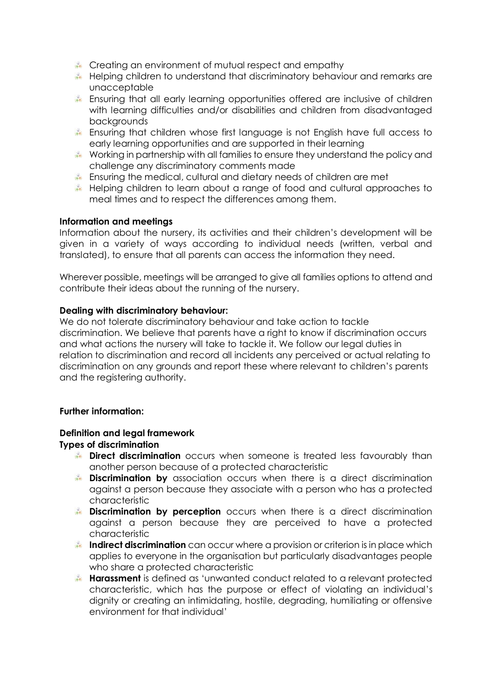- Creating an environment of mutual respect and empathy
- Helping children to understand that discriminatory behaviour and remarks are unacceptable
- Ensuring that all early learning opportunities offered are inclusive of children with learning difficulties and/or disabilities and children from disadvantaged backgrounds
- Ensuring that children whose first language is not English have full access to early learning opportunities and are supported in their learning
- Working in partnership with all families to ensure they understand the policy and challenge any discriminatory comments made
- Ensuring the medical, cultural and dietary needs of children are met
- Helping children to learn about a range of food and cultural approaches to meal times and to respect the differences among them.

## **Information and meetings**

Information about the nursery, its activities and their children's development will be given in a variety of ways according to individual needs (written, verbal and translated), to ensure that all parents can access the information they need.

Wherever possible, meetings will be arranged to give all families options to attend and contribute their ideas about the running of the nursery.

## **Dealing with discriminatory behaviour:**

We do not tolerate discriminatory behaviour and take action to tackle discrimination. We believe that parents have a right to know if discrimination occurs and what actions the nursery will take to tackle it. We follow our legal duties in relation to discrimination and record all incidents any perceived or actual relating to discrimination on any grounds and report these where relevant to children's parents and the registering authority.

### **Further information:**

### **Definition and legal framework**

### **Types of discrimination**

- **Direct discrimination** occurs when someone is treated less favourably than another person because of a protected characteristic
- **Discrimination by** association occurs when there is a direct discrimination against a person because they associate with a person who has a protected characteristic
- **Discrimination by perception** occurs when there is a direct discrimination against a person because they are perceived to have a protected characteristic
- **Indirect discrimination** can occur where a provision or criterion is in place which applies to everyone in the organisation but particularly disadvantages people who share a protected characteristic
- **Harassment** is defined as 'unwanted conduct related to a relevant protected characteristic, which has the purpose or effect of violating an individual's dignity or creating an intimidating, hostile, degrading, humiliating or offensive environment for that individual'